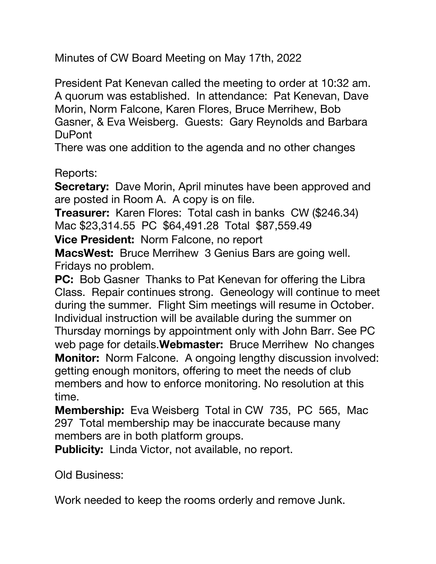Minutes of CW Board Meeting on May 17th, 2022

President Pat Kenevan called the meeting to order at 10:32 am. A quorum was established. In attendance: Pat Kenevan, Dave Morin, Norm Falcone, Karen Flores, Bruce Merrihew, Bob Gasner, & Eva Weisberg. Guests: Gary Reynolds and Barbara DuPont

There was one addition to the agenda and no other changes

Reports:

**Secretary:** Dave Morin, April minutes have been approved and are posted in Room A. A copy is on file.

**Treasurer:** Karen Flores: Total cash in banks CW (\$246.34) Mac \$23,314.55 PC \$64,491.28 Total \$87,559.49

**Vice President:** Norm Falcone, no report

**MacsWest:** Bruce Merrihew 3 Genius Bars are going well. Fridays no problem.

**PC:** Bob Gasner Thanks to Pat Kenevan for offering the Libra Class. Repair continues strong. Geneology will continue to meet during the summer. Flight Sim meetings will resume in October. Individual instruction will be available during the summer on Thursday mornings by appointment only with John Barr. See PC web page for details.**Webmaster:** Bruce Merrihew No changes **Monitor:** Norm Falcone. A ongoing lengthy discussion involved: getting enough monitors, offering to meet the needs of club members and how to enforce monitoring. No resolution at this time.

**Membership:** Eva Weisberg Total in CW 735, PC 565, Mac 297 Total membership may be inaccurate because many members are in both platform groups.

**Publicity:** Linda Victor, not available, no report.

Old Business:

Work needed to keep the rooms orderly and remove Junk.